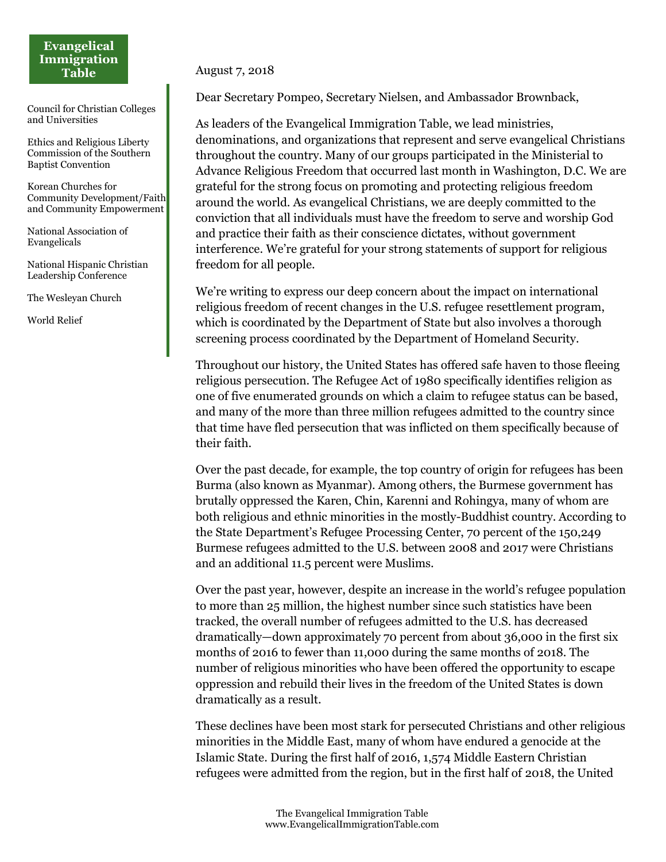## **Evangelical Immigration Table**

Council for Christian Colleges and Universities

Ethics and Religious Liberty Commission of the Southern Baptist Convention

Korean Churches for Community Development/Faith and Community Empowerment

National Association of Evangelicals

National Hispanic Christian Leadership Conference

The Wesleyan Church

World Relief

August 7, 2018

Dear Secretary Pompeo, Secretary Nielsen, and Ambassador Brownback,

As leaders of the Evangelical Immigration Table, we lead ministries, denominations, and organizations that represent and serve evangelical Christians throughout the country. Many of our groups participated in the Ministerial to Advance Religious Freedom that occurred last month in Washington, D.C. We are grateful for the strong focus on promoting and protecting religious freedom around the world. As evangelical Christians, we are deeply committed to the conviction that all individuals must have the freedom to serve and worship God and practice their faith as their conscience dictates, without government interference. We're grateful for your strong statements of support for religious freedom for all people.

We're writing to express our deep concern about the impact on international religious freedom of recent changes in the U.S. refugee resettlement program, which is coordinated by the Department of State but also involves a thorough screening process coordinated by the Department of Homeland Security.

Throughout our history, the United States has offered safe haven to those fleeing religious persecution. The Refugee Act of 1980 specifically identifies religion as one of five enumerated grounds on which a claim to refugee status can be based, and many of the more than three million refugees admitted to the country since that time have fled persecution that was inflicted on them specifically because of their faith.

Over the past decade, for example, the top country of origin for refugees has been Burma (also known as Myanmar). Among others, the Burmese government has brutally oppressed the Karen, Chin, Karenni and Rohingya, many of whom are both religious and ethnic minorities in the mostly-Buddhist country. According to the State Department's Refugee Processing Center, 70 percent of the 150,249 Burmese refugees admitted to the U.S. between 2008 and 2017 were Christians and an additional 11.5 percent were Muslims.

Over the past year, however, despite an increase in the world's refugee population to more than 25 million, the highest number since such statistics have been tracked, the overall number of refugees admitted to the U.S. has decreased dramatically—down approximately 70 percent from about 36,000 in the first six months of 2016 to fewer than 11,000 during the same months of 2018. The number of religious minorities who have been offered the opportunity to escape oppression and rebuild their lives in the freedom of the United States is down dramatically as a result.

These declines have been most stark for persecuted Christians and other religious minorities in the Middle East, many of whom have endured a genocide at the Islamic State. During the first half of 2016, 1,574 Middle Eastern Christian refugees were admitted from the region, but in the first half of 2018, the United